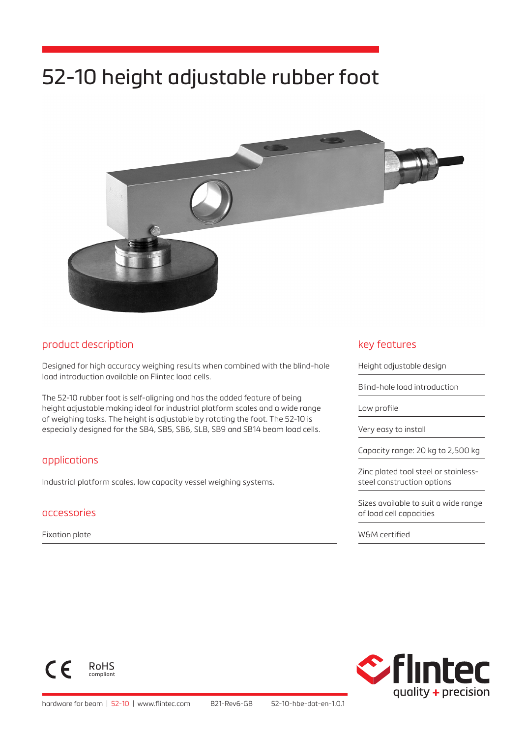# 52-10 height adjustable rubber foot



### product description

Designed for high accuracy weighing results when combined with the blind-hole load introduction available on Flintec load cells.

The 52-10 rubber foot is self-aligning and has the added feature of being height adjustable making ideal for industrial platform scales and a wide range of weighing tasks. The height is adjustable by rotating the foot. The 52-10 is especially designed for the SB4, SB5, SB6, SLB, SB9 and SB14 beam load cells.

#### applications

Industrial platform scales, low capacity vessel weighing systems.

#### accessories

Fixation plate

#### key features

Height adjustable design

Blind-hole load introduction

Low profile

Very easy to install

Capacity range: 20 kg to 2,500 kg

Zinc plated tool steel or stainlesssteel construction options

Sizes available to suit a wide range of load cell capacities

W&M certified



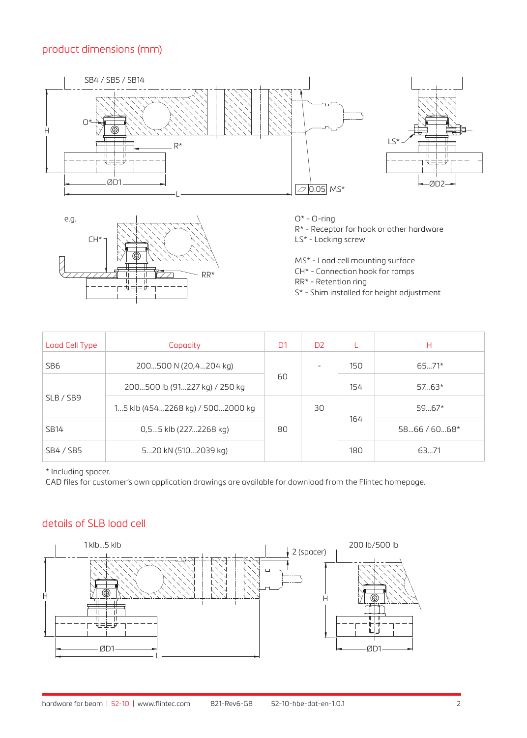## product dimensions (mm)





O\* - O-ring

R\* - Receptor for hook or other hardware

LS\* - Locking screw

MS\* - Load cell mounting surface

CH\* - Connection hook for ramps

RR\* - Retention ring

S\* - Shim installed for height adjustment

| Load Cell Type   | Capacity                         | D <sub>1</sub> | D <sub>2</sub> |     | н            |
|------------------|----------------------------------|----------------|----------------|-----|--------------|
| SB6              | 200500 N (20,4204 kg)            | 60             |                | 150 | $6571*$      |
| SLB / SB9        | 200500 lb (91227 kg) / 250 kg    |                |                | 154 | $5763*$      |
|                  | 15 klb (4542268 kg) / 5002000 kg | 80             | 30             | 164 | $5967*$      |
| <b>SB14</b>      | 0,55 klb (2272268 kg)            |                |                |     | $5866/6068*$ |
| <b>SB4 / SB5</b> | 520 kN (5102039 kg)              |                |                | 180 | 6371         |

\* Including spacer.

CAD files for customer's own application drawings are available for download from the Flintec homepage.

## details of SLB load cell